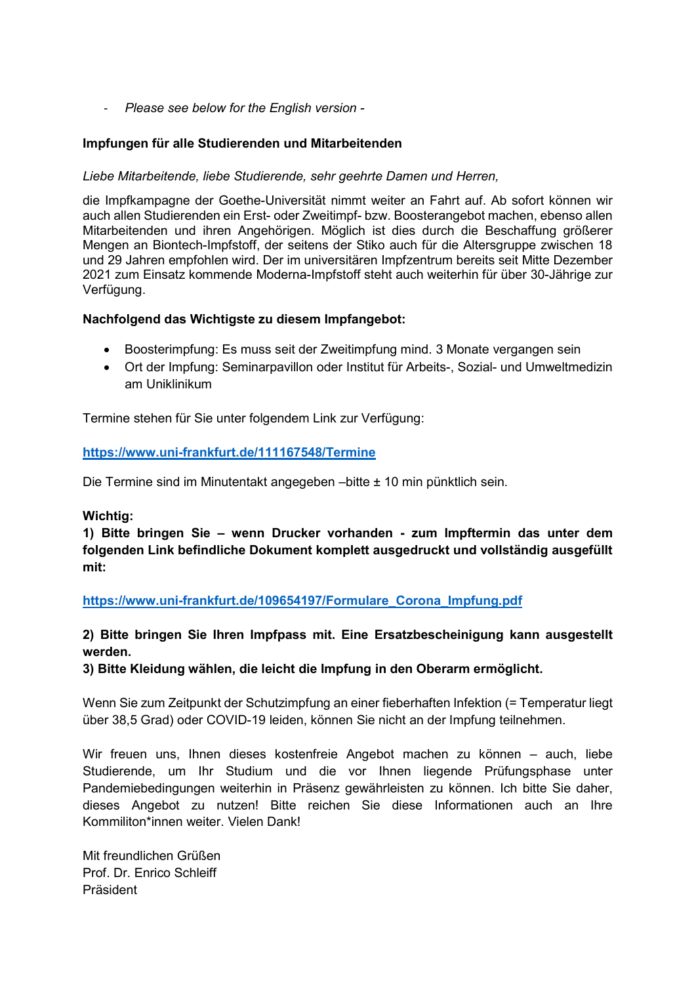- Please see below for the English version -

### Impfungen für alle Studierenden und Mitarbeitenden

#### Liebe Mitarbeitende, liebe Studierende, sehr geehrte Damen und Herren,

die Impfkampagne der Goethe-Universität nimmt weiter an Fahrt auf. Ab sofort können wir auch allen Studierenden ein Erst- oder Zweitimpf- bzw. Boosterangebot machen, ebenso allen Mitarbeitenden und ihren Angehörigen. Möglich ist dies durch die Beschaffung größerer Mengen an Biontech-Impfstoff, der seitens der Stiko auch für die Altersgruppe zwischen 18 und 29 Jahren empfohlen wird. Der im universitären Impfzentrum bereits seit Mitte Dezember 2021 zum Einsatz kommende Moderna-Impfstoff steht auch weiterhin für über 30-Jährige zur Verfügung.

#### Nachfolgend das Wichtigste zu diesem Impfangebot:

- Boosterimpfung: Es muss seit der Zweitimpfung mind. 3 Monate vergangen sein
- Ort der Impfung: Seminarpavillon oder Institut für Arbeits-, Sozial- und Umweltmedizin am Uniklinikum

Termine stehen für Sie unter folgendem Link zur Verfügung:

#### https://www.uni-frankfurt.de/111167548/Termine

Die Termine sind im Minutentakt angegeben –bitte ± 10 min pünktlich sein.

#### Wichtig:

1) Bitte bringen Sie – wenn Drucker vorhanden - zum Impftermin das unter dem folgenden Link befindliche Dokument komplett ausgedruckt und vollständig ausgefüllt mit:

https://www.uni-frankfurt.de/109654197/Formulare\_Corona\_Impfung.pdf

## 2) Bitte bringen Sie Ihren Impfpass mit. Eine Ersatzbescheinigung kann ausgestellt werden.

3) Bitte Kleidung wählen, die leicht die Impfung in den Oberarm ermöglicht.

Wenn Sie zum Zeitpunkt der Schutzimpfung an einer fieberhaften Infektion (= Temperatur liegt über 38,5 Grad) oder COVID-19 leiden, können Sie nicht an der Impfung teilnehmen.

Wir freuen uns, Ihnen dieses kostenfreie Angebot machen zu können – auch, liebe Studierende, um Ihr Studium und die vor Ihnen liegende Prüfungsphase unter Pandemiebedingungen weiterhin in Präsenz gewährleisten zu können. Ich bitte Sie daher, dieses Angebot zu nutzen! Bitte reichen Sie diese Informationen auch an Ihre Kommiliton\*innen weiter. Vielen Dank!

Mit freundlichen Grüßen Prof. Dr. Enrico Schleiff Präsident